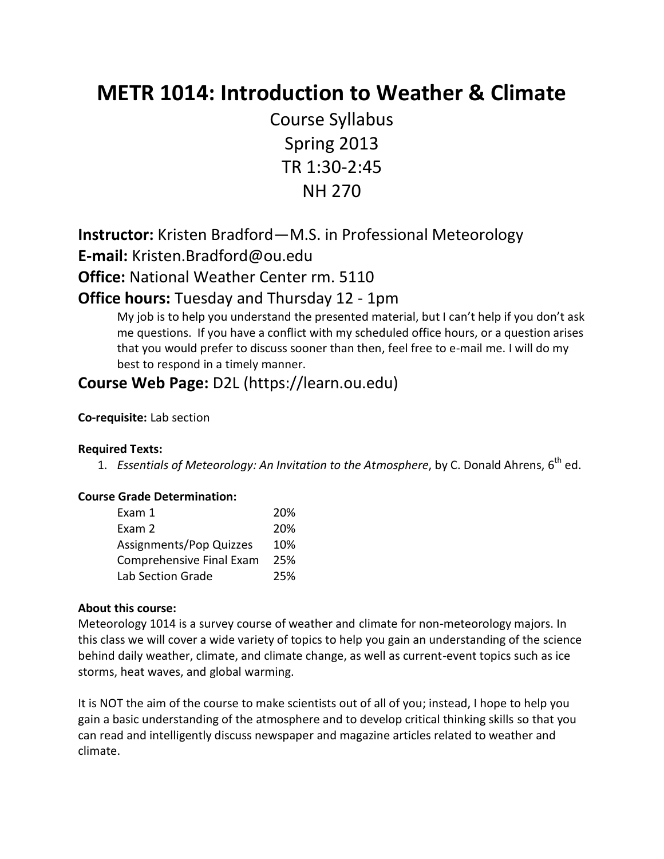# **METR 1014: Introduction to Weather & Climate**

Course Syllabus Spring 2013 TR 1:30-2:45 NH 270

**Instructor:** Kristen Bradford—M.S. in Professional Meteorology **E-mail:** [Kristen.Bradford@ou.edu](mailto:Kristen.Bradford@ou.edu)

**Office:** National Weather Center rm. 5110

## **Office hours:** Tuesday and Thursday 12 - 1pm

My job is to help you understand the presented material, but I can't help if you don't ask me questions. If you have a conflict with my scheduled office hours, or a question arises that you would prefer to discuss sooner than then, feel free to e-mail me. I will do my best to respond in a timely manner.

# **Course Web Page:** D2L (https://learn.ou.edu)

### **Co-requisite:** Lab section

### **Required Texts:**

1. Essentials of Meteorology: An Invitation to the Atmosphere, by C. Donald Ahrens, 6<sup>th</sup> ed.

## **Course Grade Determination:**

| Exam 1                          | 20% |
|---------------------------------|-----|
| Exam 2                          | 20% |
| Assignments/Pop Quizzes         | 10% |
| <b>Comprehensive Final Exam</b> | 25% |
| Lab Section Grade               | 25% |

### **About this course:**

Meteorology 1014 is a survey course of weather and climate for non-meteorology majors. In this class we will cover a wide variety of topics to help you gain an understanding of the science behind daily weather, climate, and climate change, as well as current-event topics such as ice storms, heat waves, and global warming.

It is NOT the aim of the course to make scientists out of all of you; instead, I hope to help you gain a basic understanding of the atmosphere and to develop critical thinking skills so that you can read and intelligently discuss newspaper and magazine articles related to weather and climate.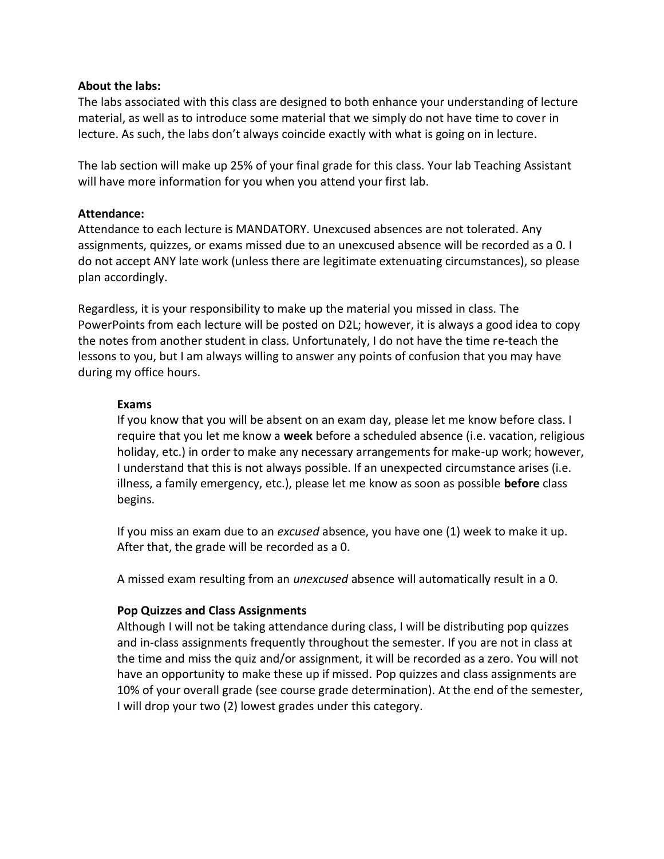#### **About the labs:**

The labs associated with this class are designed to both enhance your understanding of lecture material, as well as to introduce some material that we simply do not have time to cover in lecture. As such, the labs don't always coincide exactly with what is going on in lecture.

The lab section will make up 25% of your final grade for this class. Your lab Teaching Assistant will have more information for you when you attend your first lab.

### **Attendance:**

Attendance to each lecture is MANDATORY. Unexcused absences are not tolerated. Any assignments, quizzes, or exams missed due to an unexcused absence will be recorded as a 0. I do not accept ANY late work (unless there are legitimate extenuating circumstances), so please plan accordingly.

Regardless, it is your responsibility to make up the material you missed in class. The PowerPoints from each lecture will be posted on D2L; however, it is always a good idea to copy the notes from another student in class. Unfortunately, I do not have the time re-teach the lessons to you, but I am always willing to answer any points of confusion that you may have during my office hours.

#### **Exams**

If you know that you will be absent on an exam day, please let me know before class. I require that you let me know a **week** before a scheduled absence (i.e. vacation, religious holiday, etc.) in order to make any necessary arrangements for make-up work; however, I understand that this is not always possible. If an unexpected circumstance arises (i.e. illness, a family emergency, etc.), please let me know as soon as possible **before** class begins.

If you miss an exam due to an *excused* absence, you have one (1) week to make it up. After that, the grade will be recorded as a 0.

A missed exam resulting from an *unexcused* absence will automatically result in a 0.

### **Pop Quizzes and Class Assignments**

Although I will not be taking attendance during class, I will be distributing pop quizzes and in-class assignments frequently throughout the semester. If you are not in class at the time and miss the quiz and/or assignment, it will be recorded as a zero. You will not have an opportunity to make these up if missed. Pop quizzes and class assignments are 10% of your overall grade (see course grade determination). At the end of the semester, I will drop your two (2) lowest grades under this category.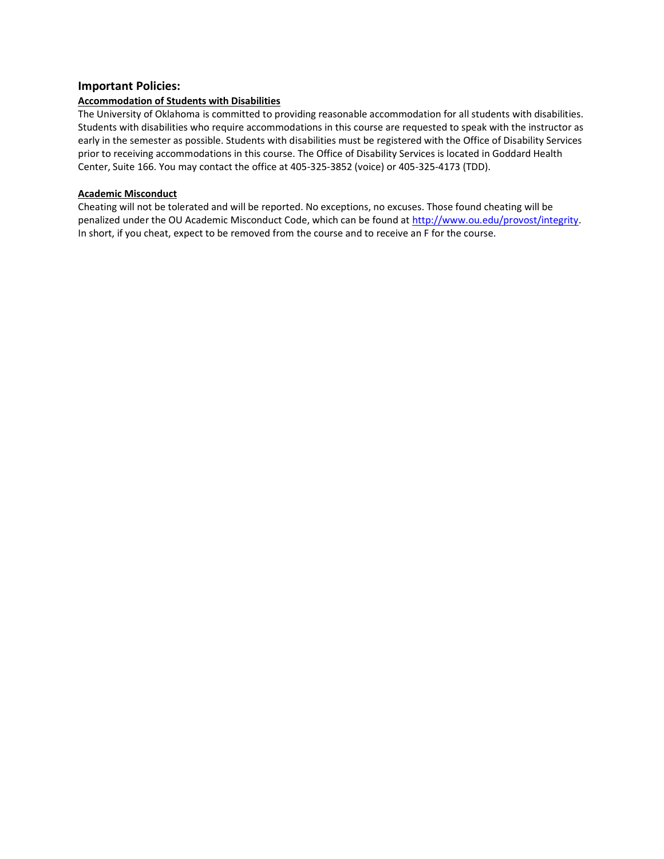#### **Important Policies:**

#### **Accommodation of Students with Disabilities**

The University of Oklahoma is committed to providing reasonable accommodation for all students with disabilities. Students with disabilities who require accommodations in this course are requested to speak with the instructor as early in the semester as possible. Students with disabilities must be registered with the Office of Disability Services prior to receiving accommodations in this course. The Office of Disability Services is located in Goddard Health Center, Suite 166. You may contact the office at 405-325-3852 (voice) or 405-325-4173 (TDD).

#### **Academic Misconduct**

Cheating will not be tolerated and will be reported. No exceptions, no excuses. Those found cheating will be penalized under the OU Academic Misconduct Code, which can be found at [http://www.ou.edu/provost/integrity.](http://www.ou.edu/provost/integrity) In short, if you cheat, expect to be removed from the course and to receive an F for the course.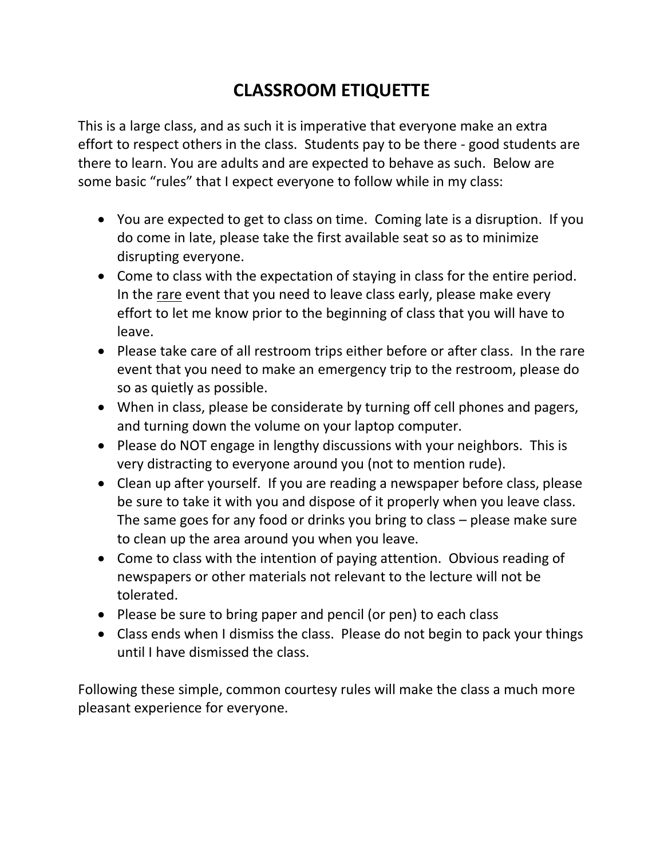# **CLASSROOM ETIQUETTE**

This is a large class, and as such it is imperative that everyone make an extra effort to respect others in the class. Students pay to be there - good students are there to learn. You are adults and are expected to behave as such. Below are some basic "rules" that I expect everyone to follow while in my class:

- You are expected to get to class on time. Coming late is a disruption. If you do come in late, please take the first available seat so as to minimize disrupting everyone.
- Come to class with the expectation of staying in class for the entire period. In the rare event that you need to leave class early, please make every effort to let me know prior to the beginning of class that you will have to leave.
- Please take care of all restroom trips either before or after class. In the rare event that you need to make an emergency trip to the restroom, please do so as quietly as possible.
- When in class, please be considerate by turning off cell phones and pagers, and turning down the volume on your laptop computer.
- Please do NOT engage in lengthy discussions with your neighbors. This is very distracting to everyone around you (not to mention rude).
- Clean up after yourself. If you are reading a newspaper before class, please be sure to take it with you and dispose of it properly when you leave class. The same goes for any food or drinks you bring to class – please make sure to clean up the area around you when you leave.
- Come to class with the intention of paying attention. Obvious reading of newspapers or other materials not relevant to the lecture will not be tolerated.
- Please be sure to bring paper and pencil (or pen) to each class
- Class ends when I dismiss the class. Please do not begin to pack your things until I have dismissed the class.

Following these simple, common courtesy rules will make the class a much more pleasant experience for everyone.